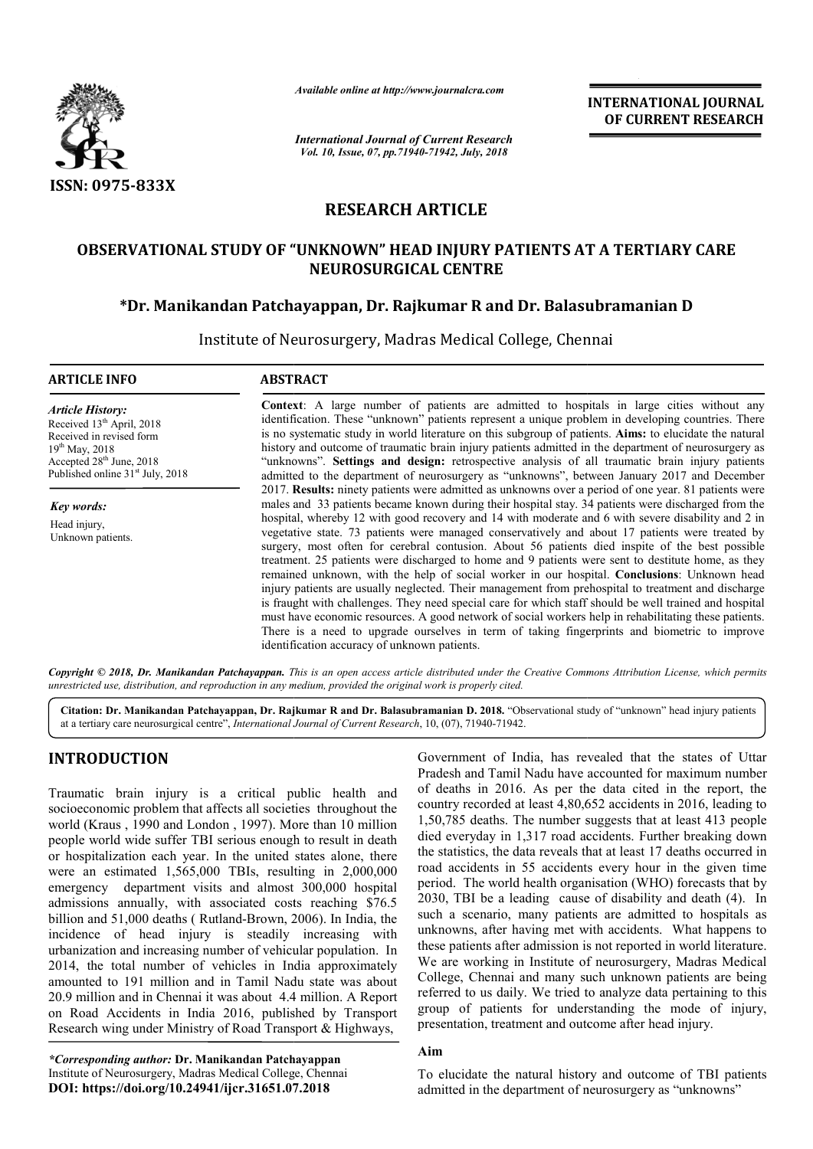

*Available online at http://www.journalcra.com*

*International Journal of Current Research Vol. 10, Issue, 07, pp.71940-71942, July, 2018*

**INTERNATIONAL JOURNAL OF CURRENT RESEARCH**

# **RESEARCH ARTICLE**

## **OBSERVATIONAL STUDY OF "UNKNOWN" HEAD INJURY PATIENTS AT A TERTIARY CARE NEUROSURGICAL CENTRE**

## **\*Dr. Manikandan Patchayappan, Dr. Dr. Rajkumar R and Dr. Balasubramanian D Dr. Balasubramanian D**

Institute of Neurosurgery, Madras Medical College, Chennai

| <b>ARTICLE INFO</b>                                                                                                                                                                                         | <b>ABSTRACT</b>                                                                                                                                                                                                                                                                                                                                                                                                                                                                                                                                                                                                                                                                                                                                                                                                                                                                                                                                                                                                                                                                                                                                                                                        |
|-------------------------------------------------------------------------------------------------------------------------------------------------------------------------------------------------------------|--------------------------------------------------------------------------------------------------------------------------------------------------------------------------------------------------------------------------------------------------------------------------------------------------------------------------------------------------------------------------------------------------------------------------------------------------------------------------------------------------------------------------------------------------------------------------------------------------------------------------------------------------------------------------------------------------------------------------------------------------------------------------------------------------------------------------------------------------------------------------------------------------------------------------------------------------------------------------------------------------------------------------------------------------------------------------------------------------------------------------------------------------------------------------------------------------------|
| <b>Article History:</b><br>Received 13 <sup>th</sup> April, 2018<br>Received in revised form<br>$19^{th}$ May, 2018<br>Accepted 28 <sup>th</sup> June, 2018<br>Published online 31 <sup>st</sup> July, 2018 | <b>Context:</b> A large number of patients are admitted to hospitals in large cities without any<br>identification. These "unknown" patients represent a unique problem in developing countries. There<br>is no systematic study in world literature on this subgroup of patients. Aims: to elucidate the natural<br>history and outcome of traumatic brain injury patients admitted in the department of neurosurgery as<br>"unknowns". Settings and design: retrospective analysis of all traumatic brain injury patients<br>admitted to the department of neurosurgery as "unknowns", between January 2017 and December                                                                                                                                                                                                                                                                                                                                                                                                                                                                                                                                                                             |
| Key words:<br>Head injury,<br>Unknown patients.                                                                                                                                                             | 2017. Results: ninety patients were admitted as unknowns over a period of one year. 81 patients were<br>males and 33 patients became known during their hospital stay. 34 patients were discharged from the<br>hospital, whereby 12 with good recovery and 14 with moderate and 6 with severe disability and 2 in<br>vegetative state. 73 patients were managed conservatively and about 17 patients were treated by<br>surgery, most often for cerebral contusion. About 56 patients died inspite of the best possible<br>treatment. 25 patients were discharged to home and 9 patients were sent to destitute home, as they<br>remained unknown, with the help of social worker in our hospital. Conclusions: Unknown head<br>injury patients are usually neglected. Their management from prehospital to treatment and discharge<br>is fraught with challenges. They need special care for which staff should be well trained and hospital<br>must have economic resources. A good network of social workers help in rehabilitating these patients.<br>There is a need to upgrade ourselves in term of taking fingerprints and biometric to improve<br>identification accuracy of unknown patients. |

Copyright © 2018, Dr. Manikandan Patchayappan. This is an open access article distributed under the Creative Commons Attribution License, which permits *unrestricted use, distribution, and reproduction in any medium, provided the original work is properly cited.*

Citation: Dr. Manikandan Patchayappan, Dr. Rajkumar R and Dr. Balasubramanian D. 2018. "Observational study of "unknown" head injury patients at a tertiary care neurosurgical centre", *International Journal of Current Research* , 10, (07), 71940-71942.

# **INTRODUCTION**

Traumatic brain injury is a critical public health and socioeconomic problem that affects all societies throughout the world (Kraus , 1990 and London , 1997). More than 10 million people world wide suffer TBI serious enough to result in death or hospitalization each year. In the united states alone, there were an estimated 1,565,000 TBIs, resulting in 2,000,000 emergency department visits and almost 300,000 hospital admissions annually, with associated costs reaching \$76.5 billion and 51,000 deaths (Rutland-Brown, 2006). In India, the incidence of head injury is steadily increasing with urbanization and increasing number of vehicular population. In 2014, the total number of vehicles in India approximately amounted to 191 million and in Tamil Nadu state was about 20.9 million and in Chennai it was about 4.4 million. A Report on Road Accidents in India 2016, published by Transport Research wing under Ministry of Road Transport & Highways, . More than 10 million<br>ough to result in death<br>ted states alone, there<br>esulting in  $2,000,000$ <br>most  $300,000$  hospital<br>costs reaching \$76.5<br>vn, 2006). In India, the

Government of India, has revealed that the states of Uttar<br>
public health and of deaths in 2016. As per the data cited in the report, the<br>
itelies throughout the country recorded at least 4,80,652 accidents in 2016, leadin Pradesh and Tamil Nadu have accounted for maximum number of deaths in 2016. As per the data cite country recorded at least 4,80,652 accidents in 2016, leading to 1,50,785 deaths. The number suggests that at least 413 people died everyday in 1,317 road accidents. Further breaking down the statistics, the data reveals that at least 17 deaths occurred in road accidents in 55 accidents every hour in the given time period. The world health organisation (WHO) forecasts that by road accidents in 55 accidents every hour in the given time<br>period. The world health organisation (WHO) forecasts that by<br>2030, TBI be a leading cause of disability and death (4). In such a scenario, many patients are admitted to hospitals as such a scenario, many patients are admitted to hospitals as unknowns, after having met with accidents. What happens to these patients after admission is not reported in world literature. We are working in Institute of neurosurgery, Madras Medical College, Chennai and many such unknown patients are being referred to us daily. We tried to analyze data pertaining to this group of patients for understanding the mode of injury, presentation, treatment and outcome after head injury. Government of India, has revealed that the states of Uttar<br>Pradesh and Tamil Nadu have accounted for maximum number<br>of deaths in 2016. As per the data cited in the report, the ecorded at least 4,80,652 accidents in 2016, leading to deaths. The number suggests that at least 413 people yday in 1,317 road accidents. Further breaking down ics, the data reveals that at least 17 deaths occurred in We are working in Institute of neurosurgery, Madras Med<br>College, Chennai and many such unknown patients are be<br>referred to us daily. We tried to analyze data pertaining to<br>group of patients for understanding the mode of in

### **Aim**

To elucidate the natural history and outcome of TBI patients admitted in the department of neurosurgery as "unknowns"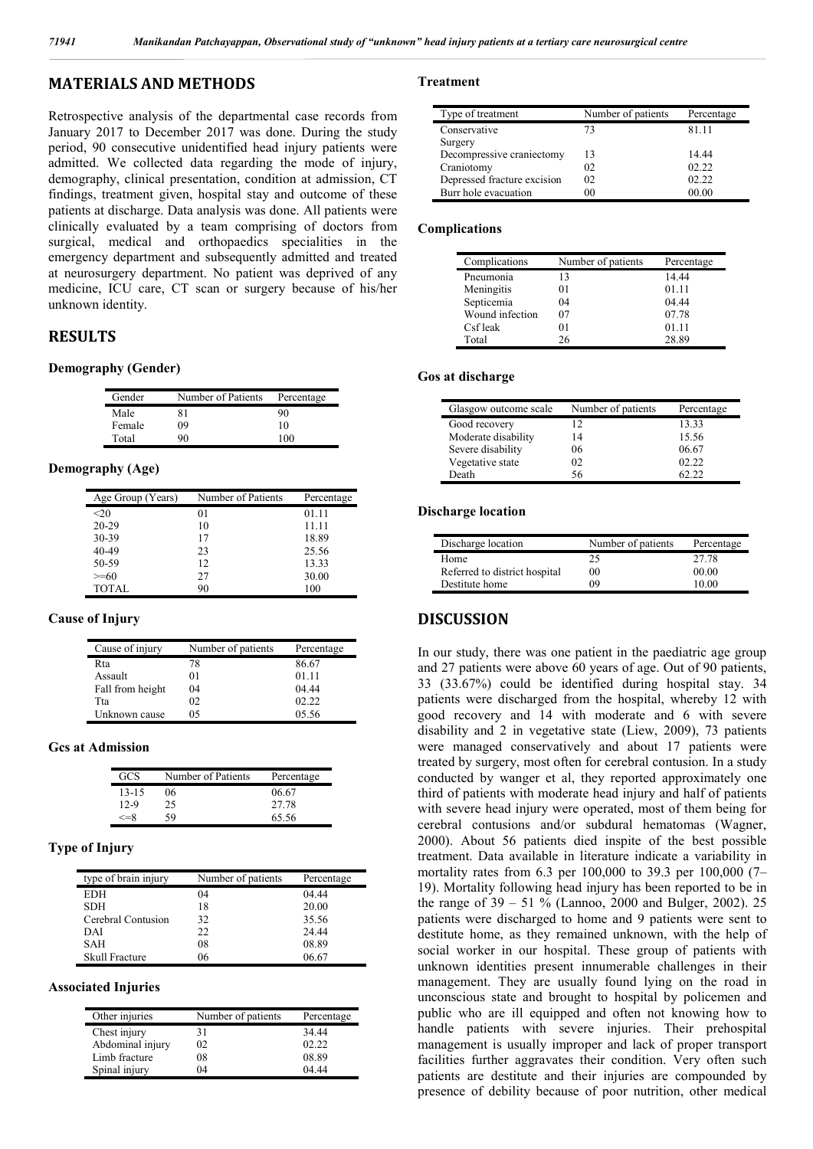## **MATERIALS AND METHODS**

Retrospective analysis of the departmental case records from January 2017 to December 2017 was done. During the study period, 90 consecutive unidentified head injury patients were admitted. We collected data regarding the mode of injury, demography, clinical presentation, condition at admission, CT findings, treatment given, hospital stay and outcome of these patients at discharge. Data analysis was done. All patients were clinically evaluated by a team comprising of doctors from surgical, medical and orthopaedics specialities in the emergency department and subsequently admitted and treated at neurosurgery department. No patient was deprived of any medicine, ICU care, CT scan or surgery because of his/her unknown identity.

### **RESULTS**

#### **Demography (Gender)**

| Gender | Number of Patients | Percentage |
|--------|--------------------|------------|
| Male   | 81                 | 90         |
| Female | 09                 | 10         |
| Total  | 90                 | 100        |

### **Demography (Age)**

| Age Group (Years) | Number of Patients | Percentage |
|-------------------|--------------------|------------|
| $20$              | 01                 | 01.11      |
| $20 - 29$         | 10                 | 11.11      |
| 30-39             | 17                 | 18.89      |
| 40-49             | 23                 | 25.56      |
| 50-59             | 12                 | 13.33      |
| $>=60$            | 27                 | 30.00      |
| TOTAL             | 90                 | 100        |

#### **Cause of Injury**

| Cause of injury  | Number of patients | Percentage |
|------------------|--------------------|------------|
| Rta              | 78                 | 86.67      |
| Assault          | 01                 | 01.11      |
| Fall from height | 04                 | 04.44      |
| Tta              | 02                 | 02.22      |
| Unknown cause    | 05                 | 05.56      |

#### **Gcs at Admission**

| GCS           | Number of Patients | Percentage |
|---------------|--------------------|------------|
| $13 - 15$     | 06                 | 06.67      |
| $12-9$        | 25                 | 27.78      |
| $\leq$ $\geq$ | 59                 | 65.56      |

#### **Type of Injury**

| type of brain injury  | Number of patients | Percentage |
|-----------------------|--------------------|------------|
| <b>EDH</b>            | 04                 | 04.44      |
| <b>SDH</b>            | 18                 | 20.00      |
| Cerebral Contusion    | 32                 | 35.56      |
| DAI                   | 22.                | 24.44      |
| <b>SAH</b>            | 08                 | 08.89      |
| <b>Skull Fracture</b> | 06                 | 06.67      |

#### **Associated Injuries**

| Other injuries   | Number of patients | Percentage |
|------------------|--------------------|------------|
| Chest injury     | 31                 | 34.44      |
| Abdominal injury | 02                 | 02.22      |
| Limb fracture    | 08                 | 08.89      |
| Spinal injury    | 04                 | 04 44      |

#### **Treatment**

| Type of treatment           | Number of patients | Percentage |
|-----------------------------|--------------------|------------|
| Conservative                | 73                 | 81.11      |
| Surgery                     |                    |            |
| Decompressive craniectomy   | 13                 | 14 44      |
| Craniotomy                  | 02                 | 02.22      |
| Depressed fracture excision | 02                 | 02.22      |
| Burr hole evacuation        | 00                 | 00.00      |

#### **Complications**

| Complications   | Number of patients | Percentage |
|-----------------|--------------------|------------|
| Pneumonia       | 13                 | 14 44      |
| Meningitis      | $^{01}$            | 01.11      |
| Septicemia      | 04                 | 0444       |
| Wound infection | 07                 | 07.78      |
| Csf leak        | 01                 | 01.11      |
| Total           | 26                 | 28.89      |

#### **Gos at discharge**

| Glasgow outcome scale | Number of patients | Percentage |
|-----------------------|--------------------|------------|
| Good recovery         | 12                 | 13.33      |
| Moderate disability   | 14                 | 15.56      |
| Severe disability     | 06                 | 06.67      |
| Vegetative state      | 02                 | 02.22      |
| Death                 | 56                 | 62 22      |

#### **Discharge location**

| Discharge location            | Number of patients | Percentage |
|-------------------------------|--------------------|------------|
| Home                          | 25                 | 27.78      |
| Referred to district hospital | 00                 | 00.00      |
| Destitute home                | 09                 | 10.00      |

## **DISCUSSION**

In our study, there was one patient in the paediatric age group and 27 patients were above 60 years of age. Out of 90 patients, 33 (33.67%) could be identified during hospital stay. 34 patients were discharged from the hospital, whereby 12 with good recovery and 14 with moderate and 6 with severe disability and 2 in vegetative state (Liew, 2009), 73 patients were managed conservatively and about 17 patients were treated by surgery, most often for cerebral contusion. In a study conducted by wanger et al, they reported approximately one third of patients with moderate head injury and half of patients with severe head injury were operated, most of them being for cerebral contusions and/or subdural hematomas (Wagner, 2000). About 56 patients died inspite of the best possible treatment. Data available in literature indicate a variability in mortality rates from 6.3 per 100,000 to 39.3 per 100,000 (7– 19). Mortality following head injury has been reported to be in the range of  $39 - 51$  % (Lannoo, 2000 and Bulger, 2002). 25 patients were discharged to home and 9 patients were sent to destitute home, as they remained unknown, with the help of social worker in our hospital. These group of patients with unknown identities present innumerable challenges in their management. They are usually found lying on the road in unconscious state and brought to hospital by policemen and public who are ill equipped and often not knowing how to handle patients with severe injuries. Their prehospital management is usually improper and lack of proper transport facilities further aggravates their condition. Very often such patients are destitute and their injuries are compounded by presence of debility because of poor nutrition, other medical